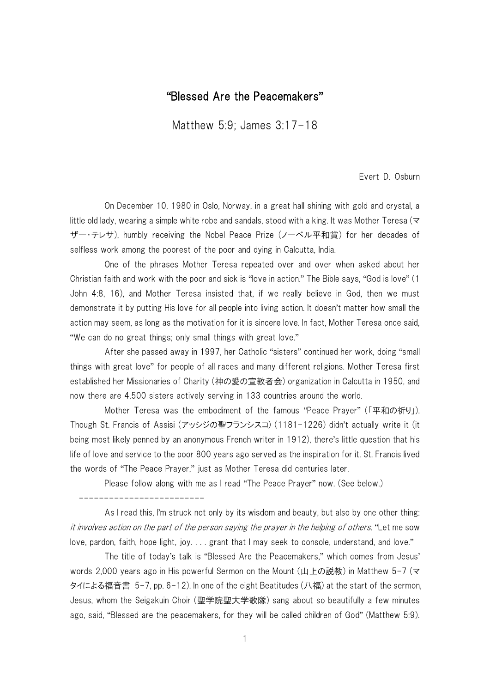## "Blessed Are the Peacemakers"

Matthew 5:9; James 3:17-18

Evert D. Osburn

On December 10, 1980 in Oslo, Norway, in a great hall shining with gold and crystal, a little old lady, wearing a simple white robe and sandals, stood with a king. It was Mother Teresa ( $\leq$ ザー・テレサ), humbly receiving the Nobel Peace Prize (ノーベル平和賞) for her decades of selfless work among the poorest of the poor and dying in Calcutta, India.

One of the phrases Mother Teresa repeated over and over when asked about her Christian faith and work with the poor and sick is "love in action." The Bible says, "God is love" (1 John 4:8, 16), and Mother Teresa insisted that, if we really believe in God, then we must demonstrate it by putting His love for all people into living action. It doesn't matter how small the action may seem, as long as the motivation for it is sincere love. In fact, Mother Teresa once said, "We can do no great things; only small things with great love."

After she passed away in 1997, her Catholic "sisters" continued her work, doing "small things with great love" for people of all races and many different religions. Mother Teresa first established her Missionaries of Charity (神の愛の宣教者会) organization in Calcutta in 1950, and now there are 4,500 sisters actively serving in 133 countries around the world.

Mother Teresa was the embodiment of the famous "Peace Prayer" (「平和の祈り」). Though St. Francis of Assisi (アッシジの聖フランシスコ) (1181-1226) didn't actually write it (it being most likely penned by an anonymous French writer in 1912), there's little question that his life of love and service to the poor 800 years ago served as the inspiration for it. St. Francis lived the words of "The Peace Prayer," just as Mother Teresa did centuries later.

Please follow along with me as I read "The Peace Prayer" now. (See below.)

-------------------------

As I read this, I'm struck not only by its wisdom and beauty, but also by one other thing: it involves action on the part of the person saying the prayer in the helping of others. "Let me sow love, pardon, faith, hope light, joy. . . . grant that I may seek to console, understand, and love."

The title of today's talk is "Blessed Are the Peacemakers," which comes from Jesus' words 2,000 years ago in His powerful Sermon on the Mount (山上の説教) in Matthew 5-7 (マ タイによる福音書 5-7, pp. 6-12). In one of the eight Beatitudes (八福) at the start of the sermon, Jesus, whom the Seigakuin Choir (聖学院聖大学歌隊) sang about so beautifully a few minutes ago, said, "Blessed are the peacemakers, for they will be called children of God" (Matthew 5:9).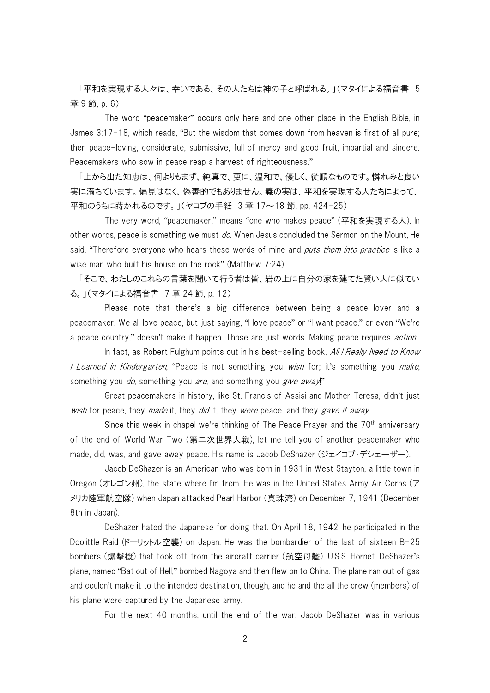「平和を実現する人々は、幸いである、その人たちは神の子と呼ばれる。」(マタイによる福音書 5 章 9 節, p. 6)

The word "peacemaker" occurs only here and one other place in the English Bible, in James 3:17-18, which reads, "But the wisdom that comes down from heaven is first of all pure; then peace-loving, considerate, submissive, full of mercy and good fruit, impartial and sincere. Peacemakers who sow in peace reap a harvest of righteousness."

「上から出た知恵は、何よりもまず、純真で、更に、温和で、優しく、従順なものです。憐れみと良い 実に満ちています。偏見はなく、偽善的でもありません。義の実は、平和を実現する人たちによって、 平和のうちに蒔かれるのです。」(ヤコブの手紙 3 章 17~18 節, pp. 424-25)

The very word, "peacemaker," means "one who makes peace" (平和を実現する人). In other words, peace is something we must do. When Jesus concluded the Sermon on the Mount, He said, "Therefore everyone who hears these words of mine and *puts them into practice* is like a wise man who built his house on the rock" (Matthew 7:24).

「そこで、わたしのこれらの言葉を聞いて行う者は皆、岩の上に自分の家を建てた賢い人に似てい る。」(マタイによる福音書 7 章 24 節, p. 12)

Please note that there's a big difference between being a peace lover and a peacemaker. We all love peace, but just saying, "I love peace" or "I want peace," or even "We're a peace country," doesn't make it happen. Those are just words. Making peace requires *action*.

In fact, as Robert Fulghum points out in his best-selling book, All I Really Need to Know I Learned in Kindergarten, "Peace is not something you wish for; it's something you make, something you do, something you are, and something you give away!"

Great peacemakers in history, like St. Francis of Assisi and Mother Teresa, didn't just wish for peace, they made it, they did it, they were peace, and they gave it away.

Since this week in chapel we're thinking of The Peace Prayer and the  $70<sup>th</sup>$  anniversary of the end of World War Two (第二次世界大戦), let me tell you of another peacemaker who made, did, was, and gave away peace. His name is Jacob DeShazer (ジェイコブ・デシェーザー).

Jacob DeShazer is an American who was born in 1931 in West Stayton, a little town in Oregon (オレゴン州), the state where I'm from. He was in the United States Army Air Corps (ア メリカ陸軍航空隊) when Japan attacked Pearl Harbor (真珠湾) on December 7, 1941 (December 8th in Japan).

DeShazer hated the Japanese for doing that. On April 18, 1942, he participated in the Doolittle Raid (ドーリットル空襲) on Japan. He was the bombardier of the last of sixteen B-25 bombers (爆撃機) that took off from the aircraft carrier (航空母艦), U.S.S. Hornet. DeShazer's plane, named "Bat out of Hell," bombed Nagoya and then flew on to China. The plane ran out of gas and couldn't make it to the intended destination, though, and he and the all the crew (members) of his plane were captured by the Japanese army.

For the next 40 months, until the end of the war, Jacob DeShazer was in various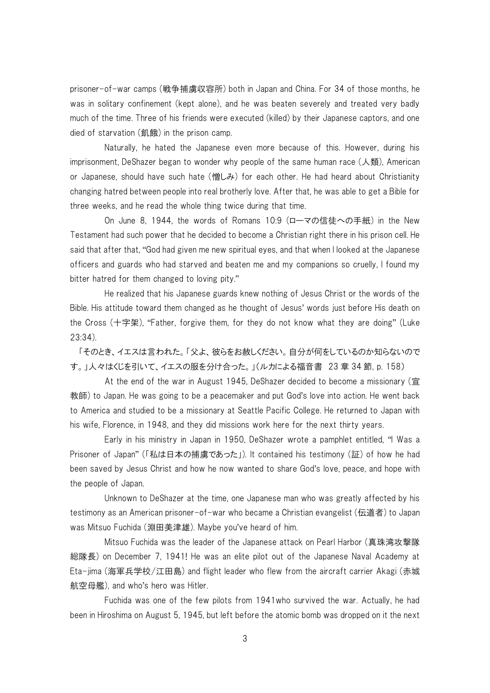prisoner-of-war camps (戦争捕虜収容所) both in Japan and China. For 34 of those months, he was in solitary confinement (kept alone), and he was beaten severely and treated very badly much of the time. Three of his friends were executed (killed) by their Japanese captors, and one died of starvation (飢餓) in the prison camp.

Naturally, he hated the Japanese even more because of this. However, during his imprisonment, DeShazer began to wonder why people of the same human race (人類), American or Japanese, should have such hate (憎しみ) for each other. He had heard about Christianity changing hatred between people into real brotherly love. After that, he was able to get a Bible for three weeks, and he read the whole thing twice during that time.

On June 8, 1944, the words of Romans 10:9 (ローマの信徒への手紙) in the New Testament had such power that he decided to become a Christian right there in his prison cell. He said that after that, "God had given me new spiritual eyes, and that when I looked at the Japanese officers and guards who had starved and beaten me and my companions so cruelly, I found my bitter hatred for them changed to loving pity."

He realized that his Japanese guards knew nothing of Jesus Christ or the words of the Bible. His attitude toward them changed as he thought of Jesus' words just before His death on the Cross (十字架), "Father, forgive them, for they do not know what they are doing" (Luke 23:34).

「そのとき、イエスは言われた。「父よ、彼らをお赦しください。自分が何をしているのか知らないので す。」人々はくじを引いて、イエスの服を分け合った。」(ルカによる福音書 23 章 34 節, p. 158)

At the end of the war in August 1945, DeShazer decided to become a missionary (宣 教師) to Japan. He was going to be a peacemaker and put God's love into action. He went back to America and studied to be a missionary at Seattle Pacific College. He returned to Japan with his wife, Florence, in 1948, and they did missions work here for the next thirty years.

Early in his ministry in Japan in 1950, DeShazer wrote a pamphlet entitled, "I Was a Prisoner of Japan" (「私は日本の捕虜であった」). It contained his testimony (証) of how he had been saved by Jesus Christ and how he now wanted to share God's love, peace, and hope with the people of Japan.

Unknown to DeShazer at the time, one Japanese man who was greatly affected by his testimony as an American prisoner-of-war who became a Christian evangelist (伝道者) to Japan was Mitsuo Fuchida (淵田美津雄). Maybe you've heard of him.

Mitsuo Fuchida was the leader of the Japanese attack on Pearl Harbor (真珠湾攻撃隊 総隊長) on December 7, 1941! He was an elite pilot out of the Japanese Naval Academy at Eta-jima (海軍兵学校/江田島) and flight leader who flew from the aircraft carrier Akagi (赤城 航空母艦), and who's hero was Hitler.

Fuchida was one of the few pilots from 1941who survived the war. Actually, he had been in Hiroshima on August 5, 1945, but left before the atomic bomb was dropped on it the next